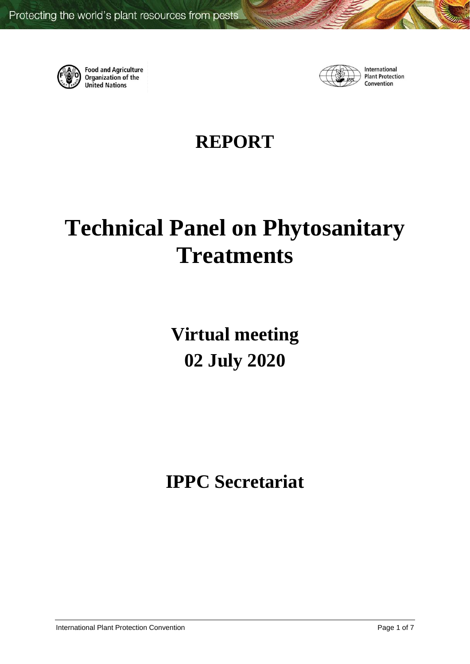

**Food and Agriculture**<br>Organization of the **United Nations** 



International **Plant Protection** Convention

# **REPORT**

# **Technical Panel on Phytosanitary Treatments**

**Virtual meeting 02 July 2020**

**IPPC Secretariat**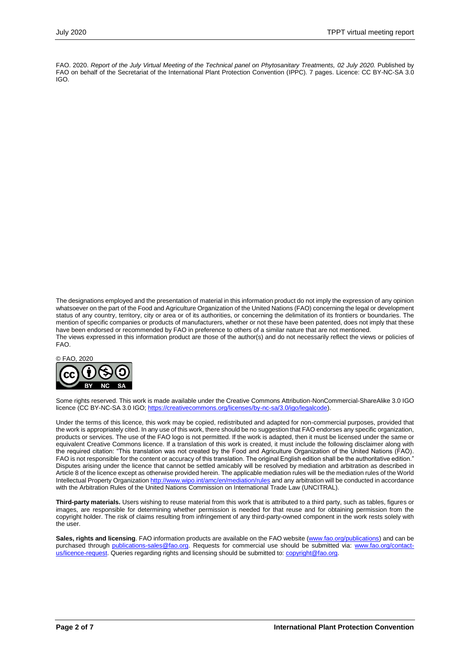FAO. 2020. *Report of the July Virtual Meeting of the Technical panel on Phytosanitary Treatments, 02 July 2020.* Published by FAO on behalf of the Secretariat of the International Plant Protection Convention (IPPC). 7 pages. Licence: CC BY-NC-SA 3.0 IGO.

The designations employed and the presentation of material in this information product do not imply the expression of any opinion whatsoever on the part of the Food and Agriculture Organization of the United Nations (FAO) concerning the legal or development status of any country, territory, city or area or of its authorities, or concerning the delimitation of its frontiers or boundaries. The mention of specific companies or products of manufacturers, whether or not these have been patented, does not imply that these have been endorsed or recommended by FAO in preference to others of a similar nature that are not mentioned. The views expressed in this information product are those of the author(s) and do not necessarily reflect the views or policies of FAO.



Some rights reserved. This work is made available under the Creative Commons Attribution-NonCommercial-ShareAlike 3.0 IGO licence (CC BY-NC-SA 3.0 IGO[; https://creativecommons.org/licenses/by-nc-sa/3.0/igo/legalcode\)](https://creativecommons.org/licenses/by-nc-sa/3.0/igo/legalcode).

Under the terms of this licence, this work may be copied, redistributed and adapted for non-commercial purposes, provided that the work is appropriately cited. In any use of this work, there should be no suggestion that FAO endorses any specific organization, products or services. The use of the FAO logo is not permitted. If the work is adapted, then it must be licensed under the same or equivalent Creative Commons licence. If a translation of this work is created, it must include the following disclaimer along with the required citation: "This translation was not created by the Food and Agriculture Organization of the United Nations (FAO). FAO is not responsible for the content or accuracy of this translation. The original English edition shall be the authoritative edition." Disputes arising under the licence that cannot be settled amicably will be resolved by mediation and arbitration as described in Article 8 of the licence except as otherwise provided herein. The applicable mediation rules will be the mediation rules of the World Intellectual Property Organizatio[n http://www.wipo.int/amc/en/mediation/rules](http://www.wipo.int/amc/en/mediation/rules) and any arbitration will be conducted in accordance with the Arbitration Rules of the United Nations Commission on International Trade Law (UNCITRAL).

**Third-party materials.** Users wishing to reuse material from this work that is attributed to a third party, such as tables, figures or images, are responsible for determining whether permission is needed for that reuse and for obtaining permission from the copyright holder. The risk of claims resulting from infringement of any third-party-owned component in the work rests solely with the user.

Sales, rights and licensing. FAO information products are available on the FAO website [\(www.fao.org/publications\)](http://www.fao.org/publications) and can be purchased through [publications-sales@fao.org.](mailto:publications-sales@fao.org) Requests for commercial use should be submitted via: [www.fao.org/contact](http://www.fao.org/contact-us/licence-request)[us/licence-request.](http://www.fao.org/contact-us/licence-request) Queries regarding rights and licensing should be submitted to: [copyright@fao.org.](mailto:copyright@fao.org)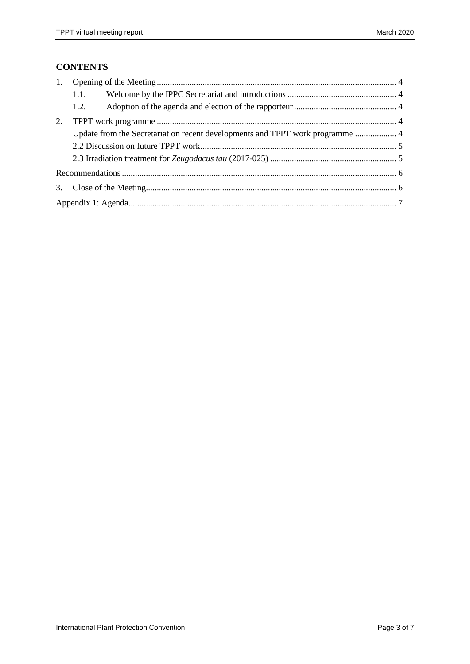# **CONTENTS**

| 1. |      |  |  |  |  |
|----|------|--|--|--|--|
|    | 1.1. |  |  |  |  |
|    | 1.2. |  |  |  |  |
| 2. |      |  |  |  |  |
|    |      |  |  |  |  |
|    |      |  |  |  |  |
|    |      |  |  |  |  |
|    |      |  |  |  |  |
| 3. |      |  |  |  |  |
|    |      |  |  |  |  |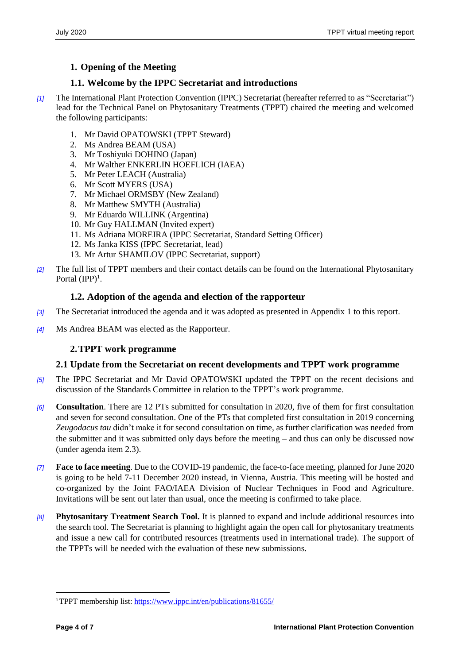# <span id="page-3-0"></span>**1. Opening of the Meeting**

## <span id="page-3-1"></span>**1.1. Welcome by the IPPC Secretariat and introductions**

- *[1]* The International Plant Protection Convention (IPPC) Secretariat (hereafter referred to as "Secretariat") lead for the Technical Panel on Phytosanitary Treatments (TPPT) chaired the meeting and welcomed the following participants:
	- 1. Mr David OPATOWSKI (TPPT Steward)
	- 2. Ms Andrea BEAM (USA)
	- 3. Mr Toshiyuki DOHINO (Japan)
	- 4. Mr Walther ENKERLIN HOEFLICH (IAEA)
	- 5. Mr Peter LEACH (Australia)
	- 6. Mr Scott MYERS (USA)
	- 7. Mr Michael ORMSBY (New Zealand)
	- 8. Mr Matthew SMYTH (Australia)
	- 9. Mr Eduardo WILLINK (Argentina)
	- 10. Mr Guy HALLMAN (Invited expert)
	- 11. Ms Adriana MOREIRA (IPPC Secretariat, Standard Setting Officer)
	- 12. Ms Janka KISS (IPPC Secretariat, lead)
	- 13. Mr Artur SHAMILOV (IPPC Secretariat, support)
- *[2]* The full list of TPPT members and their contact details can be found on the International Phytosanitary Portal  $(IPP)^1$ .

#### <span id="page-3-2"></span>**1.2. Adoption of the agenda and election of the rapporteur**

- *[3]* The Secretariat introduced the agenda and it was adopted as presented in Appendix 1 to this report.
- *[4]* Ms Andrea BEAM was elected as the Rapporteur.

# <span id="page-3-3"></span>**2.TPPT work programme**

#### <span id="page-3-4"></span>**2.1 Update from the Secretariat on recent developments and TPPT work programme**

- *[5]* The IPPC Secretariat and Mr David OPATOWSKI updated the TPPT on the recent decisions and discussion of the Standards Committee in relation to the TPPT's work programme.
- *[6]* **Consultation**. There are 12 PTs submitted for consultation in 2020, five of them for first consultation and seven for second consultation. One of the PTs that completed first consultation in 2019 concerning *Zeugodacus tau* didn't make it for second consultation on time, as further clarification was needed from the submitter and it was submitted only days before the meeting – and thus can only be discussed now (under agenda item 2.3).
- *[7]* **Face to face meeting**. Due to the COVID-19 pandemic, the face-to-face meeting, planned for June 2020 is going to be held 7-11 December 2020 instead, in Vienna, Austria. This meeting will be hosted and co-organized by the Joint FAO/IAEA Division of Nuclear Techniques in Food and Agriculture. Invitations will be sent out later than usual, once the meeting is confirmed to take place.
- *[8]* **Phytosanitary Treatment Search Tool.** It is planned to expand and include additional resources into the search tool. The Secretariat is planning to highlight again the open call for phytosanitary treatments and issue a new call for contributed resources (treatments used in international trade). The support of the TPPTs will be needed with the evaluation of these new submissions.

 $\overline{a}$ 

<sup>1</sup>TPPT membership list:<https://www.ippc.int/en/publications/81655/>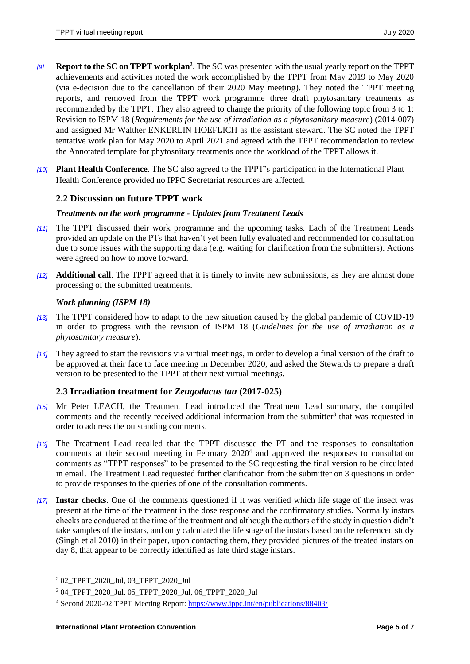- *[9]* **Report to the SC on TPPT workplan<sup>2</sup>** . The SC was presented with the usual yearly report on the TPPT achievements and activities noted the work accomplished by the TPPT from May 2019 to May 2020 (via e-decision due to the cancellation of their 2020 May meeting). They noted the TPPT meeting reports, and removed from the TPPT work programme three draft phytosanitary treatments as recommended by the TPPT. They also agreed to change the priority of the following topic from 3 to 1: Revision to ISPM 18 (*Requirements for the use of irradiation as a phytosanitary measure*) (2014-007) and assigned Mr Walther ENKERLIN HOEFLICH as the assistant steward. The SC noted the TPPT tentative work plan for May 2020 to April 2021 and agreed with the TPPT recommendation to review the Annotated template for phytosnitary treatments once the workload of the TPPT allows it.
- *[10]* **Plant Health Conference**. The SC also agreed to the TPPT's participation in the International Plant Health Conference provided no IPPC Secretariat resources are affected.

#### <span id="page-4-0"></span>**2.2 Discussion on future TPPT work**

#### *Treatments on the work programme - Updates from Treatment Leads*

- *[11]* The TPPT discussed their work programme and the upcoming tasks. Each of the Treatment Leads provided an update on the PTs that haven't yet been fully evaluated and recommended for consultation due to some issues with the supporting data (e.g. waiting for clarification from the submitters). Actions were agreed on how to move forward.
- *[12]* **Additional call**. The TPPT agreed that it is timely to invite new submissions, as they are almost done processing of the submitted treatments.

#### *Work planning (ISPM 18)*

- *[13]* The TPPT considered how to adapt to the new situation caused by the global pandemic of COVID-19 in order to progress with the revision of ISPM 18 (*Guidelines for the use of irradiation as a phytosanitary measure*).
- *[14]* They agreed to start the revisions via virtual meetings, in order to develop a final version of the draft to be approved at their face to face meeting in December 2020, and asked the Stewards to prepare a draft version to be presented to the TPPT at their next virtual meetings.

# <span id="page-4-1"></span>**2.3 Irradiation treatment for** *Zeugodacus tau* **(2017-025)**

- *[15]* Mr Peter LEACH, the Treatment Lead introduced the Treatment Lead summary, the compiled comments and the recently received additional information from the submitter<sup>3</sup> that was requested in order to address the outstanding comments.
- *[16]* The Treatment Lead recalled that the TPPT discussed the PT and the responses to consultation comments at their second meeting in February  $2020<sup>4</sup>$  and approved the responses to consultation comments as "TPPT responses" to be presented to the SC requesting the final version to be circulated in email. The Treatment Lead requested further clarification from the submitter on 3 questions in order to provide responses to the queries of one of the consultation comments.
- *[17]* **Instar checks**. One of the comments questioned if it was verified which life stage of the insect was present at the time of the treatment in the dose response and the confirmatory studies. Normally instars checks are conducted at the time of the treatment and although the authors of the study in question didn't take samples of the instars, and only calculated the life stage of the instars based on the referenced study (Singh et al 2010) in their paper, upon contacting them, they provided pictures of the treated instars on day 8, that appear to be correctly identified as late third stage instars.

l

<sup>2</sup> 02\_TPPT\_2020\_Jul, 03\_TPPT\_2020\_Jul

<sup>3</sup> 04\_TPPT\_2020\_Jul, 05\_TPPT\_2020\_Jul, 06\_TPPT\_2020\_Jul

<sup>4</sup> Second 2020-02 TPPT Meeting Report[: https://www.ippc.int/en/publications/88403/](https://www.ippc.int/en/publications/88403/)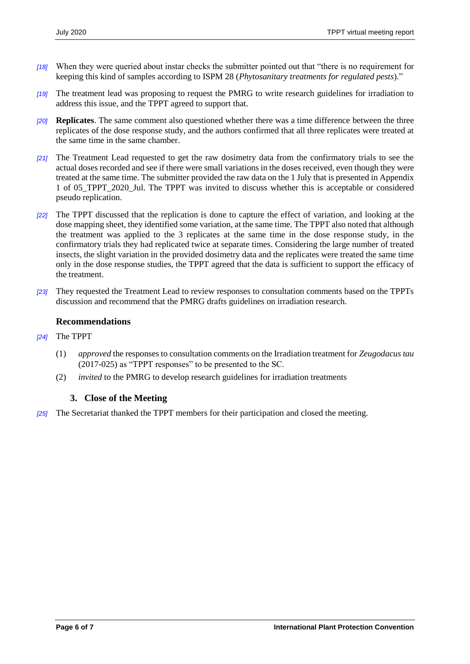- *[18]* When they were queried about instar checks the submitter pointed out that "there is no requirement for keeping this kind of samples according to ISPM 28 (*Phytosanitary treatments for regulated pests*)."
- *[19]* The treatment lead was proposing to request the PMRG to write research guidelines for irradiation to address this issue, and the TPPT agreed to support that.
- *[20]* **Replicates**. The same comment also questioned whether there was a time difference between the three replicates of the dose response study, and the authors confirmed that all three replicates were treated at the same time in the same chamber.
- *[21]* The Treatment Lead requested to get the raw dosimetry data from the confirmatory trials to see the actual doses recorded and see if there were small variations in the doses received, even though they were treated at the same time. The submitter provided the raw data on the 1 July that is presented in Appendix 1 of 05\_TPPT\_2020\_Jul. The TPPT was invited to discuss whether this is acceptable or considered pseudo replication.
- *[22]* The TPPT discussed that the replication is done to capture the effect of variation, and looking at the dose mapping sheet, they identified some variation, at the same time. The TPPT also noted that although the treatment was applied to the 3 replicates at the same time in the dose response study, in the confirmatory trials they had replicated twice at separate times. Considering the large number of treated insects, the slight variation in the provided dosimetry data and the replicates were treated the same time only in the dose response studies, the TPPT agreed that the data is sufficient to support the efficacy of the treatment.
- *[23]* They requested the Treatment Lead to review responses to consultation comments based on the TPPTs discussion and recommend that the PMRG drafts guidelines on irradiation research.

#### <span id="page-5-0"></span>**Recommendations**

- *[24]* The TPPT
	- (1) *approved* the responses to consultation comments on the Irradiation treatment for *Zeugodacus tau* (2017-025) as "TPPT responses" to be presented to the SC.
	- (2) *invited* to the PMRG to develop research guidelines for irradiation treatments

#### <span id="page-5-1"></span>**3. Close of the Meeting**

*[25]* The Secretariat thanked the TPPT members for their participation and closed the meeting.